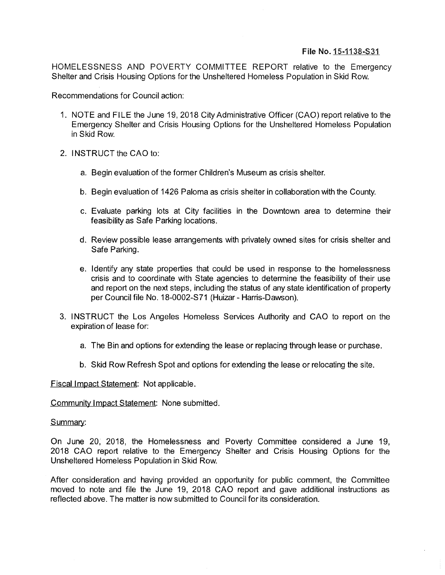## Fife No. 15-1138-S31

HOMELESSNESS AND POVERTY COMMITTEE REPORT relative to the Emergency Shelter and Crisis Housing Options for the Unsheltered Homeless Population in Skid Row.

Recommendations for Council action:

- 1. NOTE and FILE the June 19, 2018 City Administrative Officer (CAO) report relative to the Emergency Shelter and Crisis Housing Options for the Unsheltered Homeless Population in Skid Row.
- 2. INSTRUCT the CAO to:
	- a. Begin evaluation of the former Children's Museum as crisis shelter.
	- b. Begin evaluation of 1426 Paloma as crisis shelter in collaboration with the County.
	- c. Evaluate parking lots at City facilities in the Downtown area to determine their feasibility as Safe Parking locations.
	- d. Review possible lease arrangements with privately owned sites for crisis shelter and Safe Parking.
	- e. Identify any state properties that could be used in response to the homelessness crisis and to coordinate with State agencies to determine the feasibility of their use and report on the next steps, including the status of any state identification of property per Council file No. 18-0002-S71 (Huizar- Harris-Dawson).
- 3. INSTRUCT the Los Angeles Homeless Services Authority and CAO to report on the expiration of lease for:
	- a. The Bin and options for extending the lease or replacing through lease or purchase.
	- b. Skid Row Refresh Spot and options for extending the lease or relocating the site.

Fiscal Impact Statement: Not applicable.

Community Impact Statement: None submitted.

## Summary:

On June 20, 2018, the Homelessness and Poverty Committee considered a June 19, 2018 CAO report relative to the Emergency Shelter and Crisis Housing Options for the Unsheltered Homeless Population in Skid Row.

After consideration and having provided an opportunity for public comment, the Committee moved to note and file the June 19, 2018 CAO report and gave additional instructions as reflected above. The matter is now submitted to Council for its consideration.